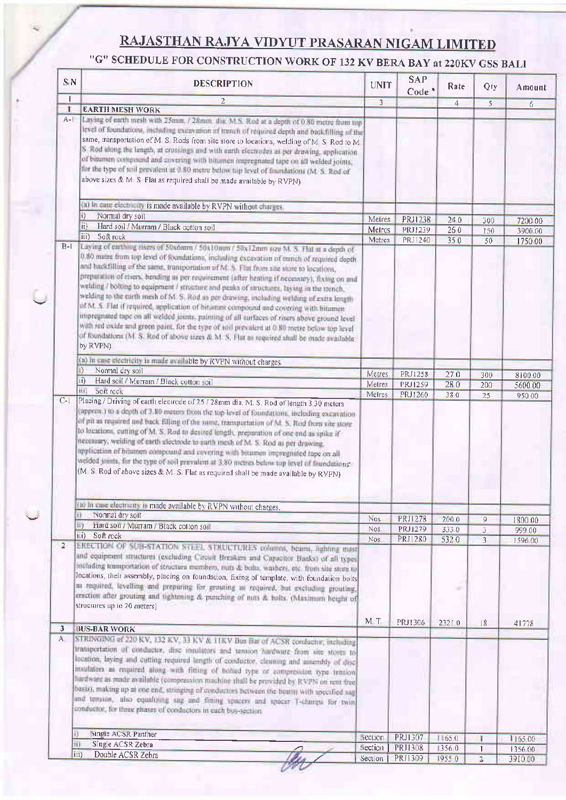## RAJASTHAN RAJYA VIDYUT PRASARAN NIGAM LIMITED

## "G" SCHEDULE FOR CONSTRUCTION WORK OF 132 KV BERA BAY at 220KV GSS BALI

|                         | $S_iN$<br><b>DESCRIPTION</b>                                                                                                                                                                                                                                                                                                                                                                                                                                                                                                                                                                                                                                                                                                                                                                                                                                                                                                                                                 | <b>UNIT</b>        | <b>SAP</b><br>Code <sup>*</sup> | Rate           | Qty                                       | Amount             |
|-------------------------|------------------------------------------------------------------------------------------------------------------------------------------------------------------------------------------------------------------------------------------------------------------------------------------------------------------------------------------------------------------------------------------------------------------------------------------------------------------------------------------------------------------------------------------------------------------------------------------------------------------------------------------------------------------------------------------------------------------------------------------------------------------------------------------------------------------------------------------------------------------------------------------------------------------------------------------------------------------------------|--------------------|---------------------------------|----------------|-------------------------------------------|--------------------|
| $\mathbf{I}$            | $\overline{2}$                                                                                                                                                                                                                                                                                                                                                                                                                                                                                                                                                                                                                                                                                                                                                                                                                                                                                                                                                               | $\overline{3}$     |                                 | $\overline{4}$ | 5                                         | 6                  |
| $\mathbf{I}$<br>$A-1$   | <b>EARTH MESH WORK</b><br>Laving of earth mesh with 13mm, / 28mm, that M.S. Rud at a depth of 0.80 metre from top                                                                                                                                                                                                                                                                                                                                                                                                                                                                                                                                                                                                                                                                                                                                                                                                                                                            |                    |                                 |                |                                           |                    |
|                         | level of foundations, including excavation of trench of required depth and packfilling of the<br>same, transportation of M S Rods from site store to locations, welding of M S Rod to M<br>S Rod along the langth, at crossings and with earth electrodes as per drawing, application<br>of bitumen compound and covering with bitumen impregnated tape on all welded joints.<br>for the type of toil prevaient at 0.80 metre below tap level of foundations (M. S. Red of<br>above sizes & M S Flat as required shall be made available by RVPN).                                                                                                                                                                                                                                                                                                                                                                                                                           |                    |                                 |                |                                           |                    |
|                         | (a) In care electric by is made available by RVPN without charges.                                                                                                                                                                                                                                                                                                                                                                                                                                                                                                                                                                                                                                                                                                                                                                                                                                                                                                           |                    |                                 |                |                                           |                    |
|                         | H)<br>Normal dry soil                                                                                                                                                                                                                                                                                                                                                                                                                                                                                                                                                                                                                                                                                                                                                                                                                                                                                                                                                        | Metres             | <b>PRJ1238</b>                  | 240            | 300                                       | 7200.00            |
|                         | ii)<br>Hard soil / Murram / Black cotton soil                                                                                                                                                                                                                                                                                                                                                                                                                                                                                                                                                                                                                                                                                                                                                                                                                                                                                                                                | Metres             | PRJ1239                         | 260            | 150                                       | 3900.00            |
|                         | iii)<br>Soft rock                                                                                                                                                                                                                                                                                                                                                                                                                                                                                                                                                                                                                                                                                                                                                                                                                                                                                                                                                            | Metres             | PRJ1240                         | 350            | 50                                        | 1750.00            |
| $B-I$                   | Laying of earthing risers of 50x6mm / 50x10num / 50x12mm size M. S. Flat in a depth of<br>0.80 matre from top level of foundations, including excavation of tranch of required depth.<br>and backfilling of the same, transportation of M. S. Flat from site state to locations,<br>preparation of risers, bending us per requirement (after heating if necessary), fixing on mul-<br>welding / bolting to equipment / structure and peaks of structures, laying in the trench,<br>welding to the earth mesh of M. S. Rod as per drawing, including welding of extra length<br>of M. S. Flat if required, application of bitamen compound and covering with bitamen<br>impregnated tape on all welded joints, painting of all turfaces of risers above ground level<br>with red oxide and green paint, for the type of soil prevalent at 0.80 metre below top level<br>of foundations (M. S. Rod of above sizes & M. S. Flat as required shall be made available<br>by RVPN) |                    |                                 |                |                                           |                    |
|                         | (a) In case electricity in made available by RVPN without charges.                                                                                                                                                                                                                                                                                                                                                                                                                                                                                                                                                                                                                                                                                                                                                                                                                                                                                                           |                    |                                 |                |                                           |                    |
|                         | Normal dry soil<br>II)                                                                                                                                                                                                                                                                                                                                                                                                                                                                                                                                                                                                                                                                                                                                                                                                                                                                                                                                                       | Metres             | PRJ1258                         | 270            | 300                                       | 8100 00            |
|                         | ii)<br>Hard soil / Murram / Black cotton soil                                                                                                                                                                                                                                                                                                                                                                                                                                                                                                                                                                                                                                                                                                                                                                                                                                                                                                                                | Metres             | <b>PRJ1259</b>                  | 280            | 200                                       | 5600 00            |
| $C-1$                   | 相<br>зол госк<br>Placing / Driving of earth electrode of 25 / 28mm dia, M. S. Rod of length 3,30 meters                                                                                                                                                                                                                                                                                                                                                                                                                                                                                                                                                                                                                                                                                                                                                                                                                                                                      | Metres             | PRJ1260                         | 380            | 25                                        | 950 00             |
|                         | (approx.) to a depth of 3.80 meters from the top level of foundations, including excuvation                                                                                                                                                                                                                                                                                                                                                                                                                                                                                                                                                                                                                                                                                                                                                                                                                                                                                  |                    |                                 |                |                                           |                    |
|                         | of pit as required and back filling of the same, transportation of M. S. Rod from site store<br>to locations, patting of M. S. Rod to desired length, preparation of one end as spike if<br>necessary, weiding of earth electrode to earth mesh of M. S. Rod as per drawing.<br>implication of bitumen eximpenna and covering with bitumen impregnated tape on all<br>welded joints, for the type of soil prevalent at 3,80 metres below top level of foundations<br>(M S Rod of above sizes & M S. Flat as required shall be made available by RVPN)                                                                                                                                                                                                                                                                                                                                                                                                                        |                    |                                 |                |                                           |                    |
|                         |                                                                                                                                                                                                                                                                                                                                                                                                                                                                                                                                                                                                                                                                                                                                                                                                                                                                                                                                                                              |                    |                                 |                |                                           |                    |
|                         | (in in case electricity is made available by RVPN without charges,<br>Normal dry soil<br>Đ.                                                                                                                                                                                                                                                                                                                                                                                                                                                                                                                                                                                                                                                                                                                                                                                                                                                                                  |                    |                                 |                |                                           |                    |
|                         | Hard soil / Murram / Black colton soil<br>IIT                                                                                                                                                                                                                                                                                                                                                                                                                                                                                                                                                                                                                                                                                                                                                                                                                                                                                                                                | Nos.<br><b>Nos</b> | <b>PRJ1278</b>                  | 2000           | 9                                         | 1800 00            |
|                         | iii) Soft rock                                                                                                                                                                                                                                                                                                                                                                                                                                                                                                                                                                                                                                                                                                                                                                                                                                                                                                                                                               | Nos <sup></sup>    | PRJ1279<br>PRJ1280              | 3330<br>5320   | $\overline{\mathbf{3}}$<br>$\overline{3}$ | 999 00             |
| $\overline{2}$          | ERECTION OF SUB-STATION STEEL STRUCTURES columns, beams, righting mast<br>and equipment attactures (excluding Circuit Berakers and Capacitor Banks) of all types<br>including tramportation of structura mambers, buts & balls, washers, etc. from site stree to<br>locations, their assembly, placing on foundation, fixing of template, with foundation bolts<br>as required, tevelling and preparing for growing as required, but excluding growing,<br>erection after grouting and tightening & punching of nots & holts. (Maximum height of<br>structures up to 20 meters)                                                                                                                                                                                                                                                                                                                                                                                              |                    |                                 |                |                                           | 1596.00            |
| $\overline{\mathbf{3}}$ | <b>BUS-BAR WORK</b>                                                                                                                                                                                                                                                                                                                                                                                                                                                                                                                                                                                                                                                                                                                                                                                                                                                                                                                                                          | M T                | PRJ1306                         | 23210          | 18                                        | 41778              |
| A                       | STRINGING of 220 KV, 132 KV, 33 KV & TIKV Bus Bar of ACSR conductive, including<br>transportation of conductor, disc insulators and tension hardware from site stores to<br>location, laying and cutting required length of conductor, cleaning and assembly of disc<br>insulation as required along with fitting of bolied type or compression type tension<br>hardware as made available (compression machine shall be provided by ICVPN on rent free)<br>basis), making up at one end, stringing of conductors between the beams with specified sag<br>and temion, also equalizing sag and firting spacers and spacer T-changa for twin<br>conductor, for three phases of conductors in each bus-section.                                                                                                                                                                                                                                                                 |                    |                                 |                |                                           |                    |
| а                       |                                                                                                                                                                                                                                                                                                                                                                                                                                                                                                                                                                                                                                                                                                                                                                                                                                                                                                                                                                              |                    |                                 |                |                                           |                    |
| πī                      | single AUSR Panther<br>Single ACSR Zebra                                                                                                                                                                                                                                                                                                                                                                                                                                                                                                                                                                                                                                                                                                                                                                                                                                                                                                                                     | nection<br>Section | PRJ1307<br><b>PRJ1308</b>       | 11650<br>13560 | ٠<br>1                                    | 1165 00<br>1356.00 |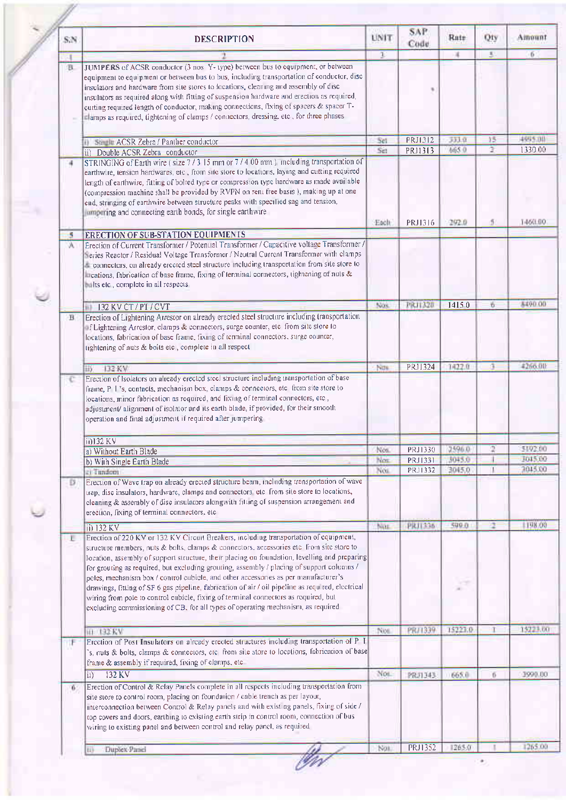| 玉<br>$\overline{1}$<br>и<br>JUMPERS of ACSR conductor (3 nos Y- type) between bus to equipment, or between<br>в<br>equipment to equipment or between bus to bus, including transportation of conductor, disc<br>insulators and hardware from site stores to locations, cleaning and assembly of disc<br>insulators as required along with fitting of suspension hardware and erection as required,<br>cutting required length of conductor, making connections, fixing of spacers & spacer T-<br>clamps as required, tightening of clamps / connectors, dressing, etc., for three phases<br><b>PRJ1312</b><br>333.9<br>15<br>Sei<br>Similar ACSR Zebra / Panther conductor<br>H)  <br>Ŧ<br>665.0<br>S <sub>eff</sub><br>PRJ1313<br>ii) Double ACSR Zebra conductor<br>STRINGING of Earth wire (size 7/3 15 mm or 7/4 00 mm) meluding transportation of<br>4<br>earthwire, tension hardwares, etc., from site store to locations, laying and cutting required<br>length of earthwire, fitting of bolted type or compression type hardware as made available<br>(compression machine shall be provided by RVPN on rent free basis), making up at one<br>end, stringing of earthwire between structure peaks with specified sag and tension,<br>umpering and connecting earth bonds, for single earthwire<br>Each<br>PRJ1316<br>292.0<br><b>ERECTION OF SUB-STATION EQUIPMENTS</b><br>5<br>Erection of Current Transformer / Potential Transformer / Capacitive voltage Transformer /<br>А<br>Series Reactor / Residual Voltage Transformer / Neutral Current Transformer with clamps<br>connectors, on already erected steel structure including transportation from site store to<br>lications, fabrication of base frame, fixing of terminal connectors, tightening of nuts &<br>balts etc., complete in all respects<br>PRJ1320<br>1415.0<br>6<br>Nos<br>11 132 KV CT / PT / CVT<br>Erection of Lightening Arrestor on already erected steel structure including transportation<br>$\mathbf{B}$<br>of Lightening Arrestor, clamps & connectors, surge counter, etc. from site store to<br>locations, fabrication of base frame, fixing of terminal connectors, surge counter,<br>tightening of nuts & bolts etc, complete in all respect<br>PRJ1324<br>1422.0<br>Now<br>132 KV<br>邼<br>Erection of Isolators on already erected steel structure including transportation of base<br>c<br>frame, P 1's, contacts, mechanism box, clamps & connectors, etc from site store to<br>locations, minor fabrication as required, and fixing of terminal connectors, etc.,<br>adjustment/alignment of isolator and its earth blade, if provided, for their smooth<br>operation and final adjustment if required after jumpering<br>ii)132 KV<br>PRJ1330<br>2596.0<br>Nos.<br>a) Without Earth Blade<br><b>PRJ1331</b><br>3045.0<br><b>Nos</b><br>b) With Single Earth Blade<br>PRJ1332<br>3045.0<br>Nos.<br>a) Tundom<br>Erection of Wave trap on already erected structure beam, including transportation of wave<br>Ð<br>trap, disc insulators, hardware, clamps and connectors etc from site store to locations,<br>cleaning & assembly of disc insulators alongwith fitting of suspension arrangement and<br>erection, fixing of terminal connectors, etc.<br><b>PRJ1336</b><br>500.0<br>a.<br>NATE<br>ii) 132 KV<br>Erection of 220 KV or 132 KV Circuit Breakers, including transportation of equipment,<br>Ε<br>structure members, nuts & bolts, clamps & connectors, accessories etc. from site store to<br>location, assembly of support structure, their placing on foundation, levelling and preparing<br>for grouting as required, but excluding grouting, assembly / placing of support columns /<br>poles, mechanism box / control cubicle, and other accessories as per manufacturer's<br>drawings, fitting of SF 6 gas pipeline, fabrication of air / oil pipeline as required, electrical<br>wiring from pole to control cubicle, fixing of terminal connectors as required, but<br>excluding commissioning of CB, for all types of operating mechanism, as required<br>15221:0<br><b>PRJ1339</b><br>т<br>III 132 KV<br>Nos.<br>Erection of Post Insulators on already erected structures including transportation of P T<br>诈<br>s, nuts & bolts, clamps & connectors, etc from site store to locations, fabrication of base<br>frame & assembly if required, fixing of clamps, etc.<br>Nos.<br>132 KV<br>665.0<br>6<br>PR/1343<br>iı).<br>Erection of Control & Relay Panels complete in all respects including transportation from<br>ō.<br>site store to control room, placing on foundation / cable trench as per layout,<br>interconnection between Control & Relay panels and with existing panels, fixing of side /<br>top covers and doors, earthing to existing earth strip in control room, connection of bus<br>wiring to existing panel and between control and relay panel, as required | S/N | <b>DESCRIPTION</b> | UNIT | <b>SAP</b><br>Code | Rate | Oty | Amount   |
|----------------------------------------------------------------------------------------------------------------------------------------------------------------------------------------------------------------------------------------------------------------------------------------------------------------------------------------------------------------------------------------------------------------------------------------------------------------------------------------------------------------------------------------------------------------------------------------------------------------------------------------------------------------------------------------------------------------------------------------------------------------------------------------------------------------------------------------------------------------------------------------------------------------------------------------------------------------------------------------------------------------------------------------------------------------------------------------------------------------------------------------------------------------------------------------------------------------------------------------------------------------------------------------------------------------------------------------------------------------------------------------------------------------------------------------------------------------------------------------------------------------------------------------------------------------------------------------------------------------------------------------------------------------------------------------------------------------------------------------------------------------------------------------------------------------------------------------------------------------------------------------------------------------------------------------------------------------------------------------------------------------------------------------------------------------------------------------------------------------------------------------------------------------------------------------------------------------------------------------------------------------------------------------------------------------------------------------------------------------------------------------------------------------------------------------------------------------------------------------------------------------------------------------------------------------------------------------------------------------------------------------------------------------------------------------------------------------------------------------------------------------------------------------------------------------------------------------------------------------------------------------------------------------------------------------------------------------------------------------------------------------------------------------------------------------------------------------------------------------------------------------------------------------------------------------------------------------------------------------------------------------------------------------------------------------------------------------------------------------------------------------------------------------------------------------------------------------------------------------------------------------------------------------------------------------------------------------------------------------------------------------------------------------------------------------------------------------------------------------------------------------------------------------------------------------------------------------------------------------------------------------------------------------------------------------------------------------------------------------------------------------------------------------------------------------------------------------------------------------------------------------------------------------------------------------------------------------------------------------------------------------------------------------------------------------------------------------------------------------------------------------------------------------------------------------------------------------------------------------------------------------------------------------------------------------------------------------------------------------------------------------------------------------------------------------------------------------------------------------------------------------------------------------------------------------------------------------------------------------------------------------------------------------|-----|--------------------|------|--------------------|------|-----|----------|
|                                                                                                                                                                                                                                                                                                                                                                                                                                                                                                                                                                                                                                                                                                                                                                                                                                                                                                                                                                                                                                                                                                                                                                                                                                                                                                                                                                                                                                                                                                                                                                                                                                                                                                                                                                                                                                                                                                                                                                                                                                                                                                                                                                                                                                                                                                                                                                                                                                                                                                                                                                                                                                                                                                                                                                                                                                                                                                                                                                                                                                                                                                                                                                                                                                                                                                                                                                                                                                                                                                                                                                                                                                                                                                                                                                                                                                                                                                                                                                                                                                                                                                                                                                                                                                                                                                                                                                                                                                                                                                                                                                                                                                                                                                                                                                                                                                                                                                                |     |                    |      |                    |      |     | 6        |
|                                                                                                                                                                                                                                                                                                                                                                                                                                                                                                                                                                                                                                                                                                                                                                                                                                                                                                                                                                                                                                                                                                                                                                                                                                                                                                                                                                                                                                                                                                                                                                                                                                                                                                                                                                                                                                                                                                                                                                                                                                                                                                                                                                                                                                                                                                                                                                                                                                                                                                                                                                                                                                                                                                                                                                                                                                                                                                                                                                                                                                                                                                                                                                                                                                                                                                                                                                                                                                                                                                                                                                                                                                                                                                                                                                                                                                                                                                                                                                                                                                                                                                                                                                                                                                                                                                                                                                                                                                                                                                                                                                                                                                                                                                                                                                                                                                                                                                                |     |                    |      |                    |      |     |          |
|                                                                                                                                                                                                                                                                                                                                                                                                                                                                                                                                                                                                                                                                                                                                                                                                                                                                                                                                                                                                                                                                                                                                                                                                                                                                                                                                                                                                                                                                                                                                                                                                                                                                                                                                                                                                                                                                                                                                                                                                                                                                                                                                                                                                                                                                                                                                                                                                                                                                                                                                                                                                                                                                                                                                                                                                                                                                                                                                                                                                                                                                                                                                                                                                                                                                                                                                                                                                                                                                                                                                                                                                                                                                                                                                                                                                                                                                                                                                                                                                                                                                                                                                                                                                                                                                                                                                                                                                                                                                                                                                                                                                                                                                                                                                                                                                                                                                                                                |     |                    |      |                    |      |     | 4005.00  |
|                                                                                                                                                                                                                                                                                                                                                                                                                                                                                                                                                                                                                                                                                                                                                                                                                                                                                                                                                                                                                                                                                                                                                                                                                                                                                                                                                                                                                                                                                                                                                                                                                                                                                                                                                                                                                                                                                                                                                                                                                                                                                                                                                                                                                                                                                                                                                                                                                                                                                                                                                                                                                                                                                                                                                                                                                                                                                                                                                                                                                                                                                                                                                                                                                                                                                                                                                                                                                                                                                                                                                                                                                                                                                                                                                                                                                                                                                                                                                                                                                                                                                                                                                                                                                                                                                                                                                                                                                                                                                                                                                                                                                                                                                                                                                                                                                                                                                                                |     |                    |      |                    |      |     | 1330 00  |
|                                                                                                                                                                                                                                                                                                                                                                                                                                                                                                                                                                                                                                                                                                                                                                                                                                                                                                                                                                                                                                                                                                                                                                                                                                                                                                                                                                                                                                                                                                                                                                                                                                                                                                                                                                                                                                                                                                                                                                                                                                                                                                                                                                                                                                                                                                                                                                                                                                                                                                                                                                                                                                                                                                                                                                                                                                                                                                                                                                                                                                                                                                                                                                                                                                                                                                                                                                                                                                                                                                                                                                                                                                                                                                                                                                                                                                                                                                                                                                                                                                                                                                                                                                                                                                                                                                                                                                                                                                                                                                                                                                                                                                                                                                                                                                                                                                                                                                                |     |                    |      |                    |      |     | 1460.00  |
|                                                                                                                                                                                                                                                                                                                                                                                                                                                                                                                                                                                                                                                                                                                                                                                                                                                                                                                                                                                                                                                                                                                                                                                                                                                                                                                                                                                                                                                                                                                                                                                                                                                                                                                                                                                                                                                                                                                                                                                                                                                                                                                                                                                                                                                                                                                                                                                                                                                                                                                                                                                                                                                                                                                                                                                                                                                                                                                                                                                                                                                                                                                                                                                                                                                                                                                                                                                                                                                                                                                                                                                                                                                                                                                                                                                                                                                                                                                                                                                                                                                                                                                                                                                                                                                                                                                                                                                                                                                                                                                                                                                                                                                                                                                                                                                                                                                                                                                |     |                    |      |                    |      |     |          |
|                                                                                                                                                                                                                                                                                                                                                                                                                                                                                                                                                                                                                                                                                                                                                                                                                                                                                                                                                                                                                                                                                                                                                                                                                                                                                                                                                                                                                                                                                                                                                                                                                                                                                                                                                                                                                                                                                                                                                                                                                                                                                                                                                                                                                                                                                                                                                                                                                                                                                                                                                                                                                                                                                                                                                                                                                                                                                                                                                                                                                                                                                                                                                                                                                                                                                                                                                                                                                                                                                                                                                                                                                                                                                                                                                                                                                                                                                                                                                                                                                                                                                                                                                                                                                                                                                                                                                                                                                                                                                                                                                                                                                                                                                                                                                                                                                                                                                                                |     |                    |      |                    |      |     |          |
|                                                                                                                                                                                                                                                                                                                                                                                                                                                                                                                                                                                                                                                                                                                                                                                                                                                                                                                                                                                                                                                                                                                                                                                                                                                                                                                                                                                                                                                                                                                                                                                                                                                                                                                                                                                                                                                                                                                                                                                                                                                                                                                                                                                                                                                                                                                                                                                                                                                                                                                                                                                                                                                                                                                                                                                                                                                                                                                                                                                                                                                                                                                                                                                                                                                                                                                                                                                                                                                                                                                                                                                                                                                                                                                                                                                                                                                                                                                                                                                                                                                                                                                                                                                                                                                                                                                                                                                                                                                                                                                                                                                                                                                                                                                                                                                                                                                                                                                |     |                    |      |                    |      |     | A490.00  |
|                                                                                                                                                                                                                                                                                                                                                                                                                                                                                                                                                                                                                                                                                                                                                                                                                                                                                                                                                                                                                                                                                                                                                                                                                                                                                                                                                                                                                                                                                                                                                                                                                                                                                                                                                                                                                                                                                                                                                                                                                                                                                                                                                                                                                                                                                                                                                                                                                                                                                                                                                                                                                                                                                                                                                                                                                                                                                                                                                                                                                                                                                                                                                                                                                                                                                                                                                                                                                                                                                                                                                                                                                                                                                                                                                                                                                                                                                                                                                                                                                                                                                                                                                                                                                                                                                                                                                                                                                                                                                                                                                                                                                                                                                                                                                                                                                                                                                                                |     |                    |      |                    |      |     |          |
|                                                                                                                                                                                                                                                                                                                                                                                                                                                                                                                                                                                                                                                                                                                                                                                                                                                                                                                                                                                                                                                                                                                                                                                                                                                                                                                                                                                                                                                                                                                                                                                                                                                                                                                                                                                                                                                                                                                                                                                                                                                                                                                                                                                                                                                                                                                                                                                                                                                                                                                                                                                                                                                                                                                                                                                                                                                                                                                                                                                                                                                                                                                                                                                                                                                                                                                                                                                                                                                                                                                                                                                                                                                                                                                                                                                                                                                                                                                                                                                                                                                                                                                                                                                                                                                                                                                                                                                                                                                                                                                                                                                                                                                                                                                                                                                                                                                                                                                |     |                    |      |                    |      |     | 4266.00  |
|                                                                                                                                                                                                                                                                                                                                                                                                                                                                                                                                                                                                                                                                                                                                                                                                                                                                                                                                                                                                                                                                                                                                                                                                                                                                                                                                                                                                                                                                                                                                                                                                                                                                                                                                                                                                                                                                                                                                                                                                                                                                                                                                                                                                                                                                                                                                                                                                                                                                                                                                                                                                                                                                                                                                                                                                                                                                                                                                                                                                                                                                                                                                                                                                                                                                                                                                                                                                                                                                                                                                                                                                                                                                                                                                                                                                                                                                                                                                                                                                                                                                                                                                                                                                                                                                                                                                                                                                                                                                                                                                                                                                                                                                                                                                                                                                                                                                                                                |     |                    |      |                    |      |     |          |
|                                                                                                                                                                                                                                                                                                                                                                                                                                                                                                                                                                                                                                                                                                                                                                                                                                                                                                                                                                                                                                                                                                                                                                                                                                                                                                                                                                                                                                                                                                                                                                                                                                                                                                                                                                                                                                                                                                                                                                                                                                                                                                                                                                                                                                                                                                                                                                                                                                                                                                                                                                                                                                                                                                                                                                                                                                                                                                                                                                                                                                                                                                                                                                                                                                                                                                                                                                                                                                                                                                                                                                                                                                                                                                                                                                                                                                                                                                                                                                                                                                                                                                                                                                                                                                                                                                                                                                                                                                                                                                                                                                                                                                                                                                                                                                                                                                                                                                                |     |                    |      |                    |      |     |          |
|                                                                                                                                                                                                                                                                                                                                                                                                                                                                                                                                                                                                                                                                                                                                                                                                                                                                                                                                                                                                                                                                                                                                                                                                                                                                                                                                                                                                                                                                                                                                                                                                                                                                                                                                                                                                                                                                                                                                                                                                                                                                                                                                                                                                                                                                                                                                                                                                                                                                                                                                                                                                                                                                                                                                                                                                                                                                                                                                                                                                                                                                                                                                                                                                                                                                                                                                                                                                                                                                                                                                                                                                                                                                                                                                                                                                                                                                                                                                                                                                                                                                                                                                                                                                                                                                                                                                                                                                                                                                                                                                                                                                                                                                                                                                                                                                                                                                                                                |     |                    |      |                    |      |     | 5192.00  |
|                                                                                                                                                                                                                                                                                                                                                                                                                                                                                                                                                                                                                                                                                                                                                                                                                                                                                                                                                                                                                                                                                                                                                                                                                                                                                                                                                                                                                                                                                                                                                                                                                                                                                                                                                                                                                                                                                                                                                                                                                                                                                                                                                                                                                                                                                                                                                                                                                                                                                                                                                                                                                                                                                                                                                                                                                                                                                                                                                                                                                                                                                                                                                                                                                                                                                                                                                                                                                                                                                                                                                                                                                                                                                                                                                                                                                                                                                                                                                                                                                                                                                                                                                                                                                                                                                                                                                                                                                                                                                                                                                                                                                                                                                                                                                                                                                                                                                                                |     |                    |      |                    |      |     | 1015.00  |
|                                                                                                                                                                                                                                                                                                                                                                                                                                                                                                                                                                                                                                                                                                                                                                                                                                                                                                                                                                                                                                                                                                                                                                                                                                                                                                                                                                                                                                                                                                                                                                                                                                                                                                                                                                                                                                                                                                                                                                                                                                                                                                                                                                                                                                                                                                                                                                                                                                                                                                                                                                                                                                                                                                                                                                                                                                                                                                                                                                                                                                                                                                                                                                                                                                                                                                                                                                                                                                                                                                                                                                                                                                                                                                                                                                                                                                                                                                                                                                                                                                                                                                                                                                                                                                                                                                                                                                                                                                                                                                                                                                                                                                                                                                                                                                                                                                                                                                                |     |                    |      |                    |      |     | 2015.00  |
|                                                                                                                                                                                                                                                                                                                                                                                                                                                                                                                                                                                                                                                                                                                                                                                                                                                                                                                                                                                                                                                                                                                                                                                                                                                                                                                                                                                                                                                                                                                                                                                                                                                                                                                                                                                                                                                                                                                                                                                                                                                                                                                                                                                                                                                                                                                                                                                                                                                                                                                                                                                                                                                                                                                                                                                                                                                                                                                                                                                                                                                                                                                                                                                                                                                                                                                                                                                                                                                                                                                                                                                                                                                                                                                                                                                                                                                                                                                                                                                                                                                                                                                                                                                                                                                                                                                                                                                                                                                                                                                                                                                                                                                                                                                                                                                                                                                                                                                |     |                    |      |                    |      |     |          |
|                                                                                                                                                                                                                                                                                                                                                                                                                                                                                                                                                                                                                                                                                                                                                                                                                                                                                                                                                                                                                                                                                                                                                                                                                                                                                                                                                                                                                                                                                                                                                                                                                                                                                                                                                                                                                                                                                                                                                                                                                                                                                                                                                                                                                                                                                                                                                                                                                                                                                                                                                                                                                                                                                                                                                                                                                                                                                                                                                                                                                                                                                                                                                                                                                                                                                                                                                                                                                                                                                                                                                                                                                                                                                                                                                                                                                                                                                                                                                                                                                                                                                                                                                                                                                                                                                                                                                                                                                                                                                                                                                                                                                                                                                                                                                                                                                                                                                                                |     |                    |      |                    |      |     | 1198,00  |
|                                                                                                                                                                                                                                                                                                                                                                                                                                                                                                                                                                                                                                                                                                                                                                                                                                                                                                                                                                                                                                                                                                                                                                                                                                                                                                                                                                                                                                                                                                                                                                                                                                                                                                                                                                                                                                                                                                                                                                                                                                                                                                                                                                                                                                                                                                                                                                                                                                                                                                                                                                                                                                                                                                                                                                                                                                                                                                                                                                                                                                                                                                                                                                                                                                                                                                                                                                                                                                                                                                                                                                                                                                                                                                                                                                                                                                                                                                                                                                                                                                                                                                                                                                                                                                                                                                                                                                                                                                                                                                                                                                                                                                                                                                                                                                                                                                                                                                                |     |                    |      |                    |      |     |          |
|                                                                                                                                                                                                                                                                                                                                                                                                                                                                                                                                                                                                                                                                                                                                                                                                                                                                                                                                                                                                                                                                                                                                                                                                                                                                                                                                                                                                                                                                                                                                                                                                                                                                                                                                                                                                                                                                                                                                                                                                                                                                                                                                                                                                                                                                                                                                                                                                                                                                                                                                                                                                                                                                                                                                                                                                                                                                                                                                                                                                                                                                                                                                                                                                                                                                                                                                                                                                                                                                                                                                                                                                                                                                                                                                                                                                                                                                                                                                                                                                                                                                                                                                                                                                                                                                                                                                                                                                                                                                                                                                                                                                                                                                                                                                                                                                                                                                                                                |     |                    |      |                    |      |     | 15223.00 |
|                                                                                                                                                                                                                                                                                                                                                                                                                                                                                                                                                                                                                                                                                                                                                                                                                                                                                                                                                                                                                                                                                                                                                                                                                                                                                                                                                                                                                                                                                                                                                                                                                                                                                                                                                                                                                                                                                                                                                                                                                                                                                                                                                                                                                                                                                                                                                                                                                                                                                                                                                                                                                                                                                                                                                                                                                                                                                                                                                                                                                                                                                                                                                                                                                                                                                                                                                                                                                                                                                                                                                                                                                                                                                                                                                                                                                                                                                                                                                                                                                                                                                                                                                                                                                                                                                                                                                                                                                                                                                                                                                                                                                                                                                                                                                                                                                                                                                                                |     |                    |      |                    |      |     |          |
|                                                                                                                                                                                                                                                                                                                                                                                                                                                                                                                                                                                                                                                                                                                                                                                                                                                                                                                                                                                                                                                                                                                                                                                                                                                                                                                                                                                                                                                                                                                                                                                                                                                                                                                                                                                                                                                                                                                                                                                                                                                                                                                                                                                                                                                                                                                                                                                                                                                                                                                                                                                                                                                                                                                                                                                                                                                                                                                                                                                                                                                                                                                                                                                                                                                                                                                                                                                                                                                                                                                                                                                                                                                                                                                                                                                                                                                                                                                                                                                                                                                                                                                                                                                                                                                                                                                                                                                                                                                                                                                                                                                                                                                                                                                                                                                                                                                                                                                |     |                    |      |                    |      |     | 3990.00  |
|                                                                                                                                                                                                                                                                                                                                                                                                                                                                                                                                                                                                                                                                                                                                                                                                                                                                                                                                                                                                                                                                                                                                                                                                                                                                                                                                                                                                                                                                                                                                                                                                                                                                                                                                                                                                                                                                                                                                                                                                                                                                                                                                                                                                                                                                                                                                                                                                                                                                                                                                                                                                                                                                                                                                                                                                                                                                                                                                                                                                                                                                                                                                                                                                                                                                                                                                                                                                                                                                                                                                                                                                                                                                                                                                                                                                                                                                                                                                                                                                                                                                                                                                                                                                                                                                                                                                                                                                                                                                                                                                                                                                                                                                                                                                                                                                                                                                                                                |     |                    |      |                    |      |     |          |
| PRJ1352<br>1265.0<br>Noi.<br>Duplex-Panel<br>ШÞ                                                                                                                                                                                                                                                                                                                                                                                                                                                                                                                                                                                                                                                                                                                                                                                                                                                                                                                                                                                                                                                                                                                                                                                                                                                                                                                                                                                                                                                                                                                                                                                                                                                                                                                                                                                                                                                                                                                                                                                                                                                                                                                                                                                                                                                                                                                                                                                                                                                                                                                                                                                                                                                                                                                                                                                                                                                                                                                                                                                                                                                                                                                                                                                                                                                                                                                                                                                                                                                                                                                                                                                                                                                                                                                                                                                                                                                                                                                                                                                                                                                                                                                                                                                                                                                                                                                                                                                                                                                                                                                                                                                                                                                                                                                                                                                                                                                                |     |                    |      |                    |      |     | 1265.00  |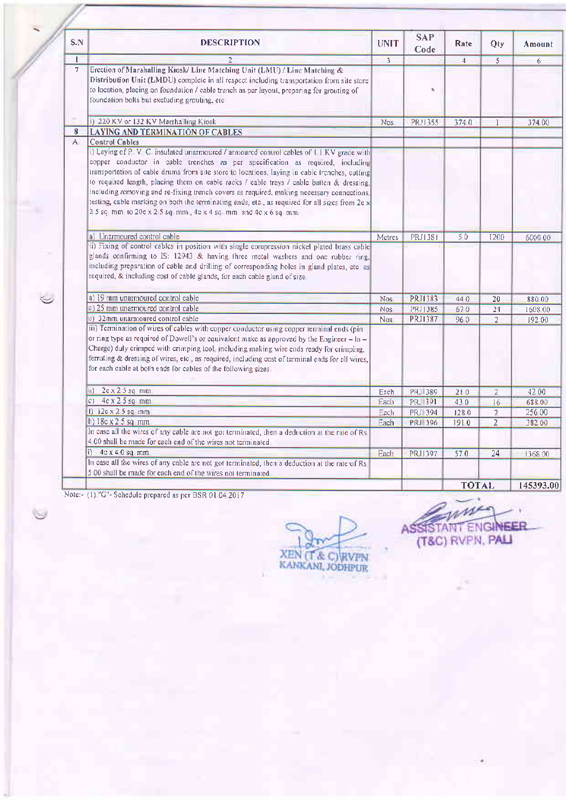| S.N          | <b>DESCRIPTION</b>                                                                                                                                                                                                                                                                                                                                                                                                                                                                                                                                                                                                                                | <b>UNIT</b> | <b>SAP</b><br>Code | Rate           | Qty            | Amount    |
|--------------|---------------------------------------------------------------------------------------------------------------------------------------------------------------------------------------------------------------------------------------------------------------------------------------------------------------------------------------------------------------------------------------------------------------------------------------------------------------------------------------------------------------------------------------------------------------------------------------------------------------------------------------------------|-------------|--------------------|----------------|----------------|-----------|
| т            | $\mathcal{F}$                                                                                                                                                                                                                                                                                                                                                                                                                                                                                                                                                                                                                                     | 3           |                    | $\overline{4}$ | $\overline{5}$ | 6         |
| 7            | Erection of Marshalling Kiosk/ Line Matching Unit (LMU) / Line Matching &<br>Distribution Unit (LMDU) complete in all respect including transportation from site store<br>to location, placing on foundation / cable trench as per layout, preparing for grouting of<br>foundation bolts but excluding grouting, etc.                                                                                                                                                                                                                                                                                                                             |             | n,                 |                |                |           |
|              | i) 220 KV or 132 KV Marshalling Kiosk                                                                                                                                                                                                                                                                                                                                                                                                                                                                                                                                                                                                             | Nos.        | PRJ1355            | 374.0          |                | 374.00    |
| 8            | <b>LAYING AND TERMINATION OF CABLES</b>                                                                                                                                                                                                                                                                                                                                                                                                                                                                                                                                                                                                           |             |                    |                |                |           |
| $\mathbf{A}$ | Control Cables                                                                                                                                                                                                                                                                                                                                                                                                                                                                                                                                                                                                                                    |             |                    |                |                |           |
|              | i) Laying of P V C insulated unarmoured / armoured control cables of I I KV grade with<br>copper conductor in cable trenches as per specification as required, including<br>transportation of cable drums from site store to locations, laying in cable trenches, cutting<br>to required length, placing them on cable racks / cable trays / cable batten & dressing,<br>including removing and re-fixing trench covers as required, making necessary connections,<br>testing, cable marking on both the terminating ends, etc., as required for all sizes from 2c x<br>2.5 sq mm to 20c x 2.5 sq mm, $4c \times 4$ sq mm and $4c \times 6$ sq mm |             |                    |                |                |           |
|              | a) Unarmoured control cable                                                                                                                                                                                                                                                                                                                                                                                                                                                                                                                                                                                                                       | Metres      | PRJ1381            | 50             | 1200           | 6000 00   |
|              | ii) Fixing of control cables in position with single compression nickel plated brass cable<br>glands confirming to IS: 12943 & having three metal washers and one rubber ring,<br>including preparation of cable and drilling of corresponding holes in gland plates, etc as<br>required, & including cost of cable glands, for each cable gland of size                                                                                                                                                                                                                                                                                          |             |                    |                |                |           |
|              | a) 19 mm unarmoured control cable                                                                                                                                                                                                                                                                                                                                                                                                                                                                                                                                                                                                                 | <b>Nos</b>  | PRJ1383            | 44.0           | 20             | 880 00    |
|              | =) 25 mm unarmoured control cable                                                                                                                                                                                                                                                                                                                                                                                                                                                                                                                                                                                                                 | <b>Nos</b>  | PRJ1385            | 670            | 24             | 1608 00   |
|              | c) 32mm unarmoured control cable                                                                                                                                                                                                                                                                                                                                                                                                                                                                                                                                                                                                                  | <b>Nos</b>  | <b>PRJ1387</b>     | 960            | $\overline{2}$ | 192.00    |
|              | iii) Termination of wires of cables with copper conductor using copper terminal ends (pin<br>or ring type as required of Dowell's or equivalent make as approved by the Engineer $- \ln -$<br>Charge) duly crimped with crimping tool, including making wire ends ready for crimping,<br>ferruling & dressing of wires, etc., as required, including cost of terminal ends for all wires,<br>for each cable at both ends for cables of the following sizes                                                                                                                                                                                        |             |                    |                |                |           |
|              | $2c \times 25 sq$ mm<br>d).                                                                                                                                                                                                                                                                                                                                                                                                                                                                                                                                                                                                                       | Each        | PRJ 389            | 210            | $\overline{2}$ | 42 00     |
|              | $c1$ 4c x 2 5 sq mm                                                                                                                                                                                                                                                                                                                                                                                                                                                                                                                                                                                                                               | Each        | PRJ 391            | 430            | 16             | 688 00    |
|              | 1) $12c \times 25 sq$ mm                                                                                                                                                                                                                                                                                                                                                                                                                                                                                                                                                                                                                          | Each        | PRJ 394            | 1280           | $\overline{2}$ | 256 00    |
|              | h) 18c x 2 5 sq mm                                                                                                                                                                                                                                                                                                                                                                                                                                                                                                                                                                                                                                | Each        | <b>PRJ 396</b>     | 1910           | $\overline{2}$ | 382 00    |
|              | In case all the wires of any cable are not got terminated, then a deduction at the rate of Rs<br>4 00 shall be made for each end of the wires not terminated                                                                                                                                                                                                                                                                                                                                                                                                                                                                                      |             |                    |                |                |           |
|              | i) $4c \times 40$ sq mm                                                                                                                                                                                                                                                                                                                                                                                                                                                                                                                                                                                                                           | Each        | PRJ1397            | 570            | 24             | 1368.00   |
|              | In case all the wires of any cable are not got terminated, then a deduction at the rate of Rs<br>5.00 shall be made for each end of the wires not terminated.                                                                                                                                                                                                                                                                                                                                                                                                                                                                                     |             |                    |                |                |           |
|              |                                                                                                                                                                                                                                                                                                                                                                                                                                                                                                                                                                                                                                                   |             |                    | <b>TOTAL</b>   |                | 145393.00 |

Note:- (1) "G"- Schedule prepared as per BSR 01 04 2017

**XEN (T & C) RVPN**<br>KANKANL JODHPUR

w ASSISTANT ENGINEER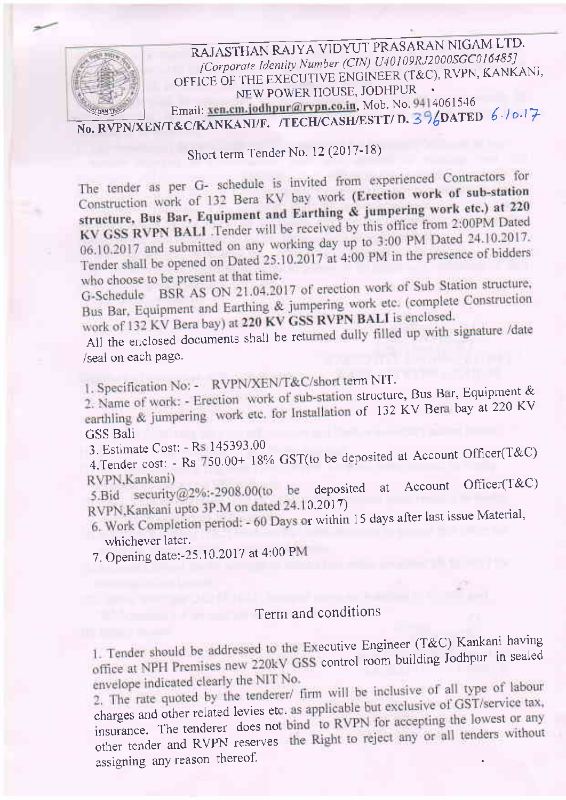

Short term Tender No. 12 (2017-18)

The tender as per G- schedule is invited from experienced Contractors for Construction work of 132 Bera KV bay work (Erection work of sub-station structure, Bus Bar, Equipment and Earthing & jumpering work etc.) at 220 KV GSS RVPN BALI .Tender will be received by this office from 2:00PM Dated 06.10.2017 and submitted on any working day up to 3:00 PM Dated 24.10.2017. Tender shall be opened on Dated 25.10.2017 at 4:00 PM in the presence of bidders who choose to be present at that time.

BSR AS ON 21.04.2017 of erection work of Sub Station structure, G-Schedule Bus Bar, Equipment and Earthing & jumpering work etc. (complete Construction work of 132 KV Bera bay) at 220 KV GSS RVPN BALI is enclosed.

All the enclosed documents shall be returned dully filled up with signature /date /seal on each page.

1. Specification No: - RVPN/XEN/T&C/short term NIT.

2. Name of work: - Erection work of sub-station structure, Bus Bar, Equipment & earthling & jumpering work etc. for Installation of 132 KV Bera bay at 220 KV **GSS Bali** 

3. Estimate Cost: - Rs 145393.00

4. Tender cost: - Rs 750.00+ 18% GST(to be deposited at Account Officer(T&C) RVPN.Kankani)

Officer(T&C) Account 5.Bid security@2%:-2908.00(to be deposited at RVPN, Kankani upto 3P.M on dated 24.10.2017)

6. Work Completion period: - 60 Days or within 15 days after last issue Material, whichever later.

7. Opening date:-25.10.2017 at 4:00 PM

## Term and conditions

1. Tender should be addressed to the Executive Engineer (T&C) Kankani having office at NPH Premises new 220kV GSS control room building Jodhpur in sealed envelope indicated clearly the NIT No.

2. The rate quoted by the tenderer/ firm will be inclusive of all type of labour charges and other related levies etc. as applicable but exclusive of GST/service tax, insurance. The tenderer does not bind to RVPN for accepting the lowest or any other tender and RVPN reserves the Right to reject any or all tenders without assigning any reason thereof.